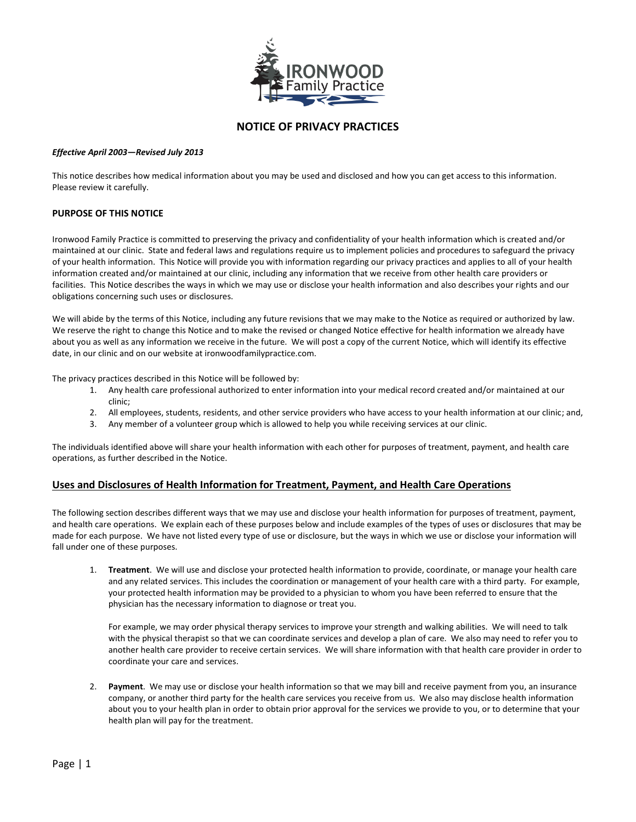

## **NOTICE OF PRIVACY PRACTICES**

#### *Effective April 2003—Revised July 2013*

This notice describes how medical information about you may be used and disclosed and how you can get access to this information. Please review it carefully.

#### **PURPOSE OF THIS NOTICE**

Ironwood Family Practice is committed to preserving the privacy and confidentiality of your health information which is created and/or maintained at our clinic. State and federal laws and regulations require us to implement policies and procedures to safeguard the privacy of your health information. This Notice will provide you with information regarding our privacy practices and applies to all of your health information created and/or maintained at our clinic, including any information that we receive from other health care providers or facilities. This Notice describes the ways in which we may use or disclose your health information and also describes your rights and our obligations concerning such uses or disclosures.

We will abide by the terms of this Notice, including any future revisions that we may make to the Notice as required or authorized by law. We reserve the right to change this Notice and to make the revised or changed Notice effective for health information we already have about you as well as any information we receive in the future. We will post a copy of the current Notice, which will identify its effective date, in our clinic and on our website at ironwoodfamilypractice.com.

The privacy practices described in this Notice will be followed by:

- 1. Any health care professional authorized to enter information into your medical record created and/or maintained at our clinic;
- 2. All employees, students, residents, and other service providers who have access to your health information at our clinic; and,
- 3. Any member of a volunteer group which is allowed to help you while receiving services at our clinic.

The individuals identified above will share your health information with each other for purposes of treatment, payment, and health care operations, as further described in the Notice.

#### **Uses and Disclosures of Health Information for Treatment, Payment, and Health Care Operations**

The following section describes different ways that we may use and disclose your health information for purposes of treatment, payment, and health care operations. We explain each of these purposes below and include examples of the types of uses or disclosures that may be made for each purpose. We have not listed every type of use or disclosure, but the ways in which we use or disclose your information will fall under one of these purposes.

1. **Treatment**. We will use and disclose your protected health information to provide, coordinate, or manage your health care and any related services. This includes the coordination or management of your health care with a third party. For example, your protected health information may be provided to a physician to whom you have been referred to ensure that the physician has the necessary information to diagnose or treat you.

For example, we may order physical therapy services to improve your strength and walking abilities. We will need to talk with the physical therapist so that we can coordinate services and develop a plan of care. We also may need to refer you to another health care provider to receive certain services. We will share information with that health care provider in order to coordinate your care and services.

2. **Payment**. We may use or disclose your health information so that we may bill and receive payment from you, an insurance company, or another third party for the health care services you receive from us. We also may disclose health information about you to your health plan in order to obtain prior approval for the services we provide to you, or to determine that your health plan will pay for the treatment.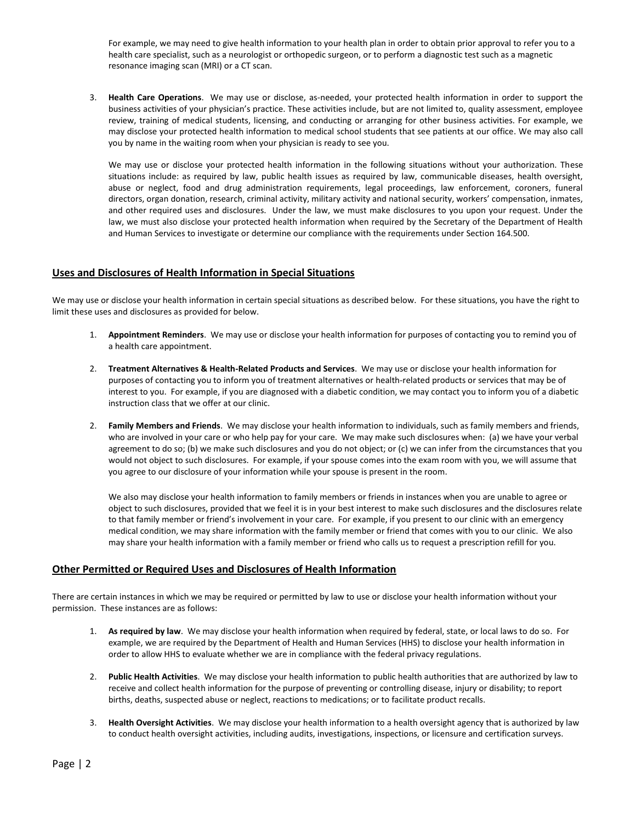For example, we may need to give health information to your health plan in order to obtain prior approval to refer you to a health care specialist, such as a neurologist or orthopedic surgeon, or to perform a diagnostic test such as a magnetic resonance imaging scan (MRI) or a CT scan.

3. **Health Care Operations**. We may use or disclose, as-needed, your protected health information in order to support the business activities of your physician's practice. These activities include, but are not limited to, quality assessment, employee review, training of medical students, licensing, and conducting or arranging for other business activities. For example, we may disclose your protected health information to medical school students that see patients at our office. We may also call you by name in the waiting room when your physician is ready to see you.

We may use or disclose your protected health information in the following situations without your authorization. These situations include: as required by law, public health issues as required by law, communicable diseases, health oversight, abuse or neglect, food and drug administration requirements, legal proceedings, law enforcement, coroners, funeral directors, organ donation, research, criminal activity, military activity and national security, workers' compensation, inmates, and other required uses and disclosures. Under the law, we must make disclosures to you upon your request. Under the law, we must also disclose your protected health information when required by the Secretary of the Department of Health and Human Services to investigate or determine our compliance with the requirements under Section 164.500.

### **Uses and Disclosures of Health Information in Special Situations**

We may use or disclose your health information in certain special situations as described below. For these situations, you have the right to limit these uses and disclosures as provided for below.

- 1. **Appointment Reminders**. We may use or disclose your health information for purposes of contacting you to remind you of a health care appointment.
- 2. **Treatment Alternatives & Health-Related Products and Services**. We may use or disclose your health information for purposes of contacting you to inform you of treatment alternatives or health-related products or services that may be of interest to you. For example, if you are diagnosed with a diabetic condition, we may contact you to inform you of a diabetic instruction class that we offer at our clinic.
- 2. **Family Members and Friends**. We may disclose your health information to individuals, such as family members and friends, who are involved in your care or who help pay for your care. We may make such disclosures when: (a) we have your verbal agreement to do so; (b) we make such disclosures and you do not object; or (c) we can infer from the circumstances that you would not object to such disclosures. For example, if your spouse comes into the exam room with you, we will assume that you agree to our disclosure of your information while your spouse is present in the room.

We also may disclose your health information to family members or friends in instances when you are unable to agree or object to such disclosures, provided that we feel it is in your best interest to make such disclosures and the disclosures relate to that family member or friend's involvement in your care. For example, if you present to our clinic with an emergency medical condition, we may share information with the family member or friend that comes with you to our clinic. We also may share your health information with a family member or friend who calls us to request a prescription refill for you.

#### **Other Permitted or Required Uses and Disclosures of Health Information**

There are certain instances in which we may be required or permitted by law to use or disclose your health information without your permission. These instances are as follows:

- 1. **As required by law**. We may disclose your health information when required by federal, state, or local laws to do so. For example, we are required by the Department of Health and Human Services (HHS) to disclose your health information in order to allow HHS to evaluate whether we are in compliance with the federal privacy regulations.
- 2. **Public Health Activities**. We may disclose your health information to public health authorities that are authorized by law to receive and collect health information for the purpose of preventing or controlling disease, injury or disability; to report births, deaths, suspected abuse or neglect, reactions to medications; or to facilitate product recalls.
- 3. **Health Oversight Activities**. We may disclose your health information to a health oversight agency that is authorized by law to conduct health oversight activities, including audits, investigations, inspections, or licensure and certification surveys.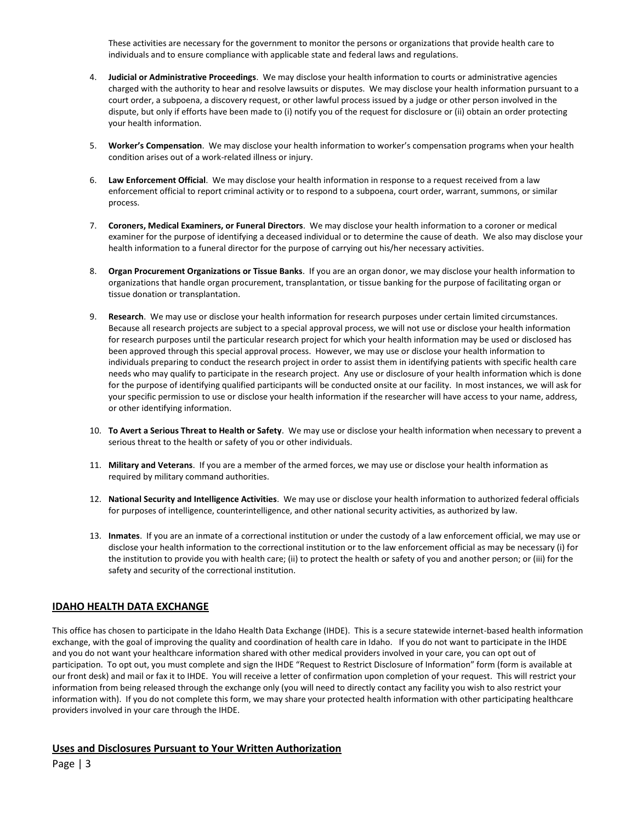These activities are necessary for the government to monitor the persons or organizations that provide health care to individuals and to ensure compliance with applicable state and federal laws and regulations.

- 4. **Judicial or Administrative Proceedings**. We may disclose your health information to courts or administrative agencies charged with the authority to hear and resolve lawsuits or disputes. We may disclose your health information pursuant to a court order, a subpoena, a discovery request, or other lawful process issued by a judge or other person involved in the dispute, but only if efforts have been made to (i) notify you of the request for disclosure or (ii) obtain an order protecting your health information.
- 5. **Worker's Compensation**. We may disclose your health information to worker's compensation programs when your health condition arises out of a work-related illness or injury.
- 6. **Law Enforcement Official**. We may disclose your health information in response to a request received from a law enforcement official to report criminal activity or to respond to a subpoena, court order, warrant, summons, or similar process.
- 7. **Coroners, Medical Examiners, or Funeral Directors**. We may disclose your health information to a coroner or medical examiner for the purpose of identifying a deceased individual or to determine the cause of death. We also may disclose your health information to a funeral director for the purpose of carrying out his/her necessary activities.
- 8. **Organ Procurement Organizations or Tissue Banks**. If you are an organ donor, we may disclose your health information to organizations that handle organ procurement, transplantation, or tissue banking for the purpose of facilitating organ or tissue donation or transplantation.
- 9. **Research**. We may use or disclose your health information for research purposes under certain limited circumstances. Because all research projects are subject to a special approval process, we will not use or disclose your health information for research purposes until the particular research project for which your health information may be used or disclosed has been approved through this special approval process. However, we may use or disclose your health information to individuals preparing to conduct the research project in order to assist them in identifying patients with specific health care needs who may qualify to participate in the research project. Any use or disclosure of your health information which is done for the purpose of identifying qualified participants will be conducted onsite at our facility. In most instances, we will ask for your specific permission to use or disclose your health information if the researcher will have access to your name, address, or other identifying information.
- 10. **To Avert a Serious Threat to Health or Safety**. We may use or disclose your health information when necessary to prevent a serious threat to the health or safety of you or other individuals.
- 11. **Military and Veterans**. If you are a member of the armed forces, we may use or disclose your health information as required by military command authorities.
- 12. **National Security and Intelligence Activities**. We may use or disclose your health information to authorized federal officials for purposes of intelligence, counterintelligence, and other national security activities, as authorized by law.
- 13. **Inmates**. If you are an inmate of a correctional institution or under the custody of a law enforcement official, we may use or disclose your health information to the correctional institution or to the law enforcement official as may be necessary (i) for the institution to provide you with health care; (ii) to protect the health or safety of you and another person; or (iii) for the safety and security of the correctional institution.

# **IDAHO HEALTH DATA EXCHANGE**

This office has chosen to participate in the Idaho Health Data Exchange (IHDE). This is a secure statewide internet-based health information exchange, with the goal of improving the quality and coordination of health care in Idaho. If you do not want to participate in the IHDE and you do not want your healthcare information shared with other medical providers involved in your care, you can opt out of participation. To opt out, you must complete and sign the IHDE "Request to Restrict Disclosure of Information" form (form is available at our front desk) and mail or fax it to IHDE. You will receive a letter of confirmation upon completion of your request. This will restrict your information from being released through the exchange only (you will need to directly contact any facility you wish to also restrict your information with). If you do not complete this form, we may share your protected health information with other participating healthcare providers involved in your care through the IHDE.

## **Uses and Disclosures Pursuant to Your Written Authorization**